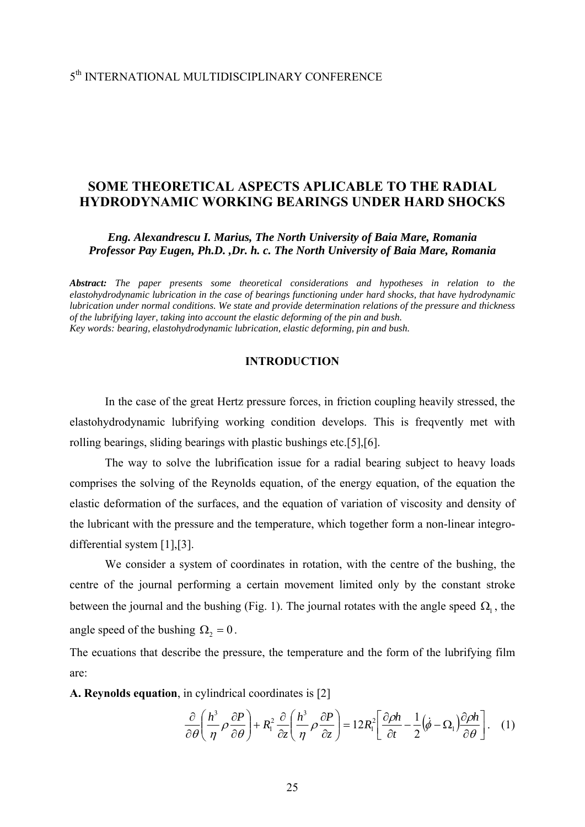# 5th INTERNATIONAL MULTIDISCIPLINARY CONFERENCE

# **SOME THEORETICAL ASPECTS APLICABLE TO THE RADIAL HYDRODYNAMIC WORKING BEARINGS UNDER HARD SHOCKS**

*Eng. Alexandrescu I. Marius, The North University of Baia Mare, Romania Professor Pay Eugen, Ph.D. ,Dr. h. c. The North University of Baia Mare, Romania*

*Abstract: The paper presents some theoretical considerations and hypotheses in relation to the elastohydrodynamic lubrication in the case of bearings functioning under hard shocks, that have hydrodynamic lubrication under normal conditions. We state and provide determination relations of the pressure and thickness of the lubrifying layer, taking into account the elastic deforming of the pin and bush. Key words: bearing, elastohydrodynamic lubrication, elastic deforming, pin and bush.*

## **INTRODUCTION**

In the case of the great Hertz pressure forces, in friction coupling heavily stressed, the elastohydrodynamic lubrifying working condition develops. This is freqvently met with rolling bearings, sliding bearings with plastic bushings etc.[5],[6].

 The way to solve the lubrification issue for a radial bearing subject to heavy loads comprises the solving of the Reynolds equation, of the energy equation, of the equation the elastic deformation of the surfaces, and the equation of variation of viscosity and density of the lubricant with the pressure and the temperature, which together form a non-linear integrodifferential system [1],[3].

 We consider a system of coordinates in rotation, with the centre of the bushing, the centre of the journal performing a certain movement limited only by the constant stroke between the journal and the bushing (Fig. 1). The journal rotates with the angle speed  $\Omega_1$ , the angle speed of the bushing  $\Omega_2 = 0$ .

The ecuations that describe the pressure, the temperature and the form of the lubrifying film are:

**A. Reynolds equation**, in cylindrical coordinates is [2]

$$
\frac{\partial}{\partial \theta} \left( \frac{h^3}{\eta} \rho \frac{\partial P}{\partial \theta} \right) + R_1^2 \frac{\partial}{\partial z} \left( \frac{h^3}{\eta} \rho \frac{\partial P}{\partial z} \right) = 12R_1^2 \left[ \frac{\partial \rho h}{\partial t} - \frac{1}{2} (\dot{\phi} - \Omega_1) \frac{\partial \rho h}{\partial \theta} \right]. \quad (1)
$$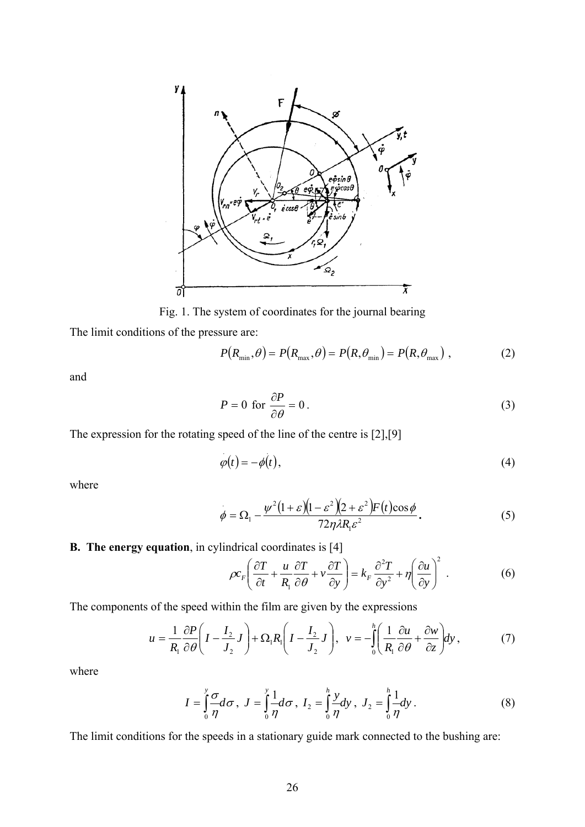

Fig. 1. The system of coordinates for the journal bearing

The limit conditions of the pressure are:

$$
P(R_{\min}, \theta) = P(R_{\max}, \theta) = P(R, \theta_{\min}) = P(R, \theta_{\max}),
$$
 (2)

and

$$
P = 0 \text{ for } \frac{\partial P}{\partial \theta} = 0. \tag{3}
$$

The expression for the rotating speed of the line of the centre is [2],[9]

$$
\varphi(t) = -\phi(t),\tag{4}
$$

where

$$
\dot{\phi} = \Omega_1 - \frac{\psi^2 (1+\varepsilon)(1-\varepsilon^2)(2+\varepsilon^2) F(t) \cos \phi}{72\eta \lambda R_1 \varepsilon^2}.
$$
\n(5)

**B. The energy equation**, in cylindrical coordinates is [4]

$$
\rho c_F \left( \frac{\partial T}{\partial t} + \frac{u}{R_1} \frac{\partial T}{\partial \theta} + v \frac{\partial T}{\partial y} \right) = k_F \frac{\partial^2 T}{\partial y^2} + \eta \left( \frac{\partial u}{\partial y} \right)^2 \,. \tag{6}
$$

The components of the speed within the film are given by the expressions

$$
u = \frac{1}{R_1} \frac{\partial P}{\partial \theta} \left( I - \frac{I_2}{J_2} J \right) + \Omega_1 R_1 \left( I - \frac{I_2}{J_2} J \right), \quad v = -\int_0^h \left( \frac{1}{R_1} \frac{\partial u}{\partial \theta} + \frac{\partial w}{\partial z} \right) dy \,, \tag{7}
$$

where

$$
I = \int_{0}^{y} \frac{\sigma}{\eta} d\sigma, \ J = \int_{0}^{y} \frac{1}{\eta} d\sigma, \ I_{2} = \int_{0}^{h} \frac{y}{\eta} dy, \ J_{2} = \int_{0}^{h} \frac{1}{\eta} dy.
$$
 (8)

The limit conditions for the speeds in a stationary guide mark connected to the bushing are: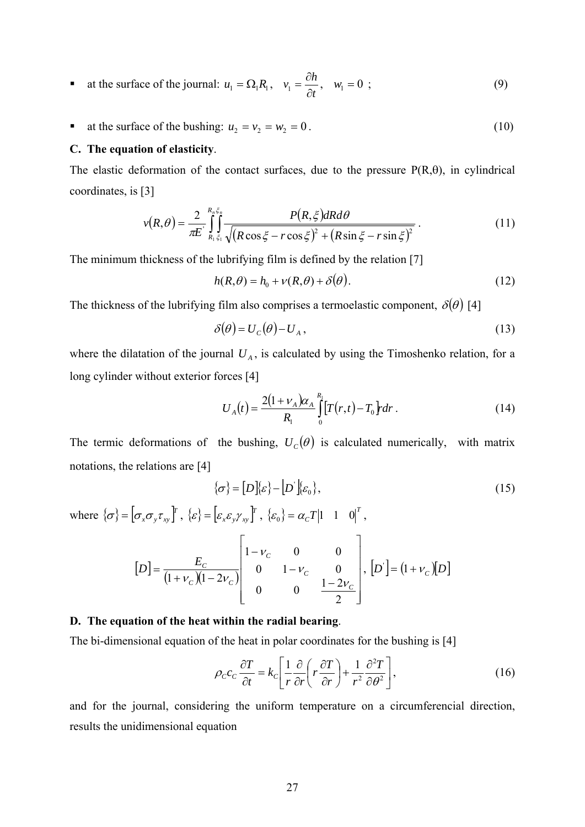- at the surface of the journal:  $u_1 = \Omega_1 R_1$ ,  $v_1 = \frac{\partial h}{\partial t}$ ∂  $w_1 = \frac{\partial h}{\partial y}, \quad w_1 = 0;$  (9)
- at the surface of the bushing:  $u_2 = v_2 = w_2 = 0$ . (10)

### **C. The equation of elasticity**.

The elastic deformation of the contact surfaces, due to the pressure  $P(R,\theta)$ , in cylindrical coordinates, is [3]

$$
v(R,\theta) = \frac{2}{\pi E} \int_{R_1 \xi_1}^{R_n \xi_2} \frac{P(R,\xi)dR d\theta}{\sqrt{(R\cos\xi - r\cos\xi)^2 + (R\sin\xi - r\sin\xi)^2}}.
$$
(11)

The minimum thickness of the lubrifying film is defined by the relation [7]

$$
h(R,\theta) = h_0 + v(R,\theta) + \delta(\theta).
$$
 (12)

The thickness of the lubrifying film also comprises a termoelastic component,  $\delta(\theta)$  [4]

$$
\delta(\theta) = U_c(\theta) - U_A, \qquad (13)
$$

where the dilatation of the journal  $U_A$ , is calculated by using the Timoshenko relation, for a long cylinder without exterior forces [4]

$$
U_A(t) = \frac{2(1 + \nu_A)\alpha_A}{R_1} \int_0^{R_1} [T(r,t) - T_0] r dr.
$$
 (14)

The termic deformations of the bushing,  $U_c(\theta)$  is calculated numerically, with matrix notations, the relations are [4]

$$
\{\sigma\} = [D][\varepsilon] - [D][\varepsilon_0],\tag{15}
$$

where  $\{\sigma\} = [\sigma_x \sigma_y \tau_{xy}]^T$ ,  $\{\varepsilon\} = [\varepsilon_x \varepsilon_y \gamma_{xy}]^T$ ,  $\{\varepsilon_0\} = \alpha_c T |1 \quad 1 \quad 0|^T$ ,  $[D] = \frac{E_C}{(1 + v_C)(1 - 2v_C)}$ ⎥  $\overline{\phantom{a}}$ ⎥ ⎥ ⎥  $\overline{\phantom{a}}$ ⎤  $\mathsf I$  $\lfloor$  $\lfloor$  $\mathsf{I}$  $\lfloor$ ⎣  $\mathsf{L}$ − − −  $=\frac{L_c}{(1 + v_c)(1 -$ 2 0 0  $\frac{1-2}{2}$ 0  $1 - v_c$  0  $1-\nu_c$  0 0  $(1 + v_c)(1 - 2v_c)$  0  $1 - 2v_c$ *C C*  $C \Lambda^{1-\frac{2V}{C}}$  $[E] = \frac{E_c}{(1 - \lambda)^2}$ ν ν ν  $\frac{E_C}{V_C \sqrt{1-2v_C}}$  0  $1-v_C$  0  $\Big|, [D] = (1+v_C)[D]$ 

### **D. The equation of the heat within the radial bearing**.

The bi-dimensional equation of the heat in polar coordinates for the bushing is [4]

$$
\rho_c c_c \frac{\partial T}{\partial t} = k_c \left[ \frac{1}{r} \frac{\partial}{\partial r} \left( r \frac{\partial T}{\partial r} \right) + \frac{1}{r^2} \frac{\partial^2 T}{\partial \theta^2} \right],
$$
(16)

and for the journal, considering the uniform temperature on a circumferencial direction, results the unidimensional equation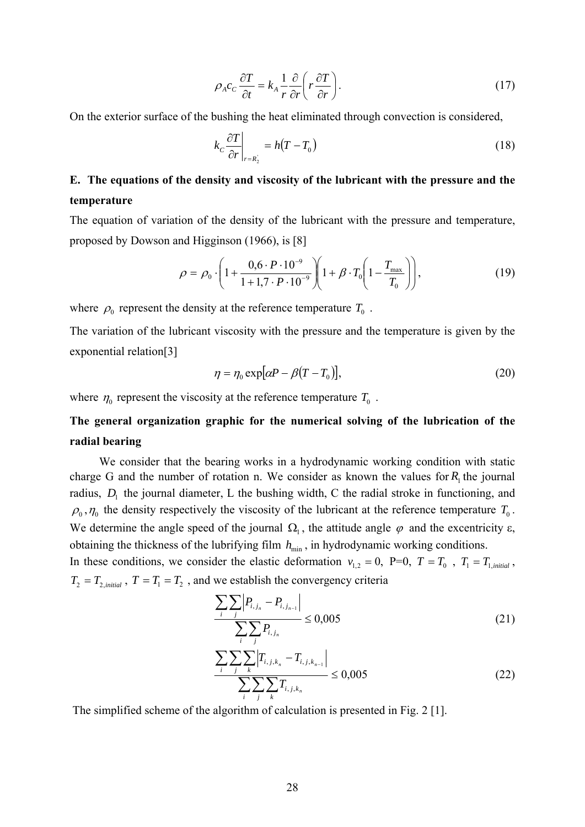$$
\rho_A c_c \frac{\partial T}{\partial t} = k_A \frac{1}{r} \frac{\partial}{\partial r} \left( r \frac{\partial T}{\partial r} \right). \tag{17}
$$

On the exterior surface of the bushing the heat eliminated through convection is considered,

$$
k_c \frac{\partial T}{\partial r}\bigg|_{r=R_2} = h(T - T_0)
$$
\n(18)

# **E. The equations of the density and viscosity of the lubricant with the pressure and the temperature**

The equation of variation of the density of the lubricant with the pressure and temperature, proposed by Dowson and Higginson (1966), is [8]

$$
\rho = \rho_0 \cdot \left( 1 + \frac{0.6 \cdot P \cdot 10^{-9}}{1 + 1.7 \cdot P \cdot 10^{-9}} \right) \left( 1 + \beta \cdot T_0 \left( 1 - \frac{T_{\text{max}}}{T_0} \right) \right),\tag{19}
$$

where  $\rho_0$  represent the density at the reference temperature  $T_0$ .

The variation of the lubricant viscosity with the pressure and the temperature is given by the exponential relation[3]

$$
\eta = \eta_0 \exp[\alpha P - \beta (T - T_0)],\tag{20}
$$

where  $\eta_0$  represent the viscosity at the reference temperature  $T_0$ .

# **The general organization graphic for the numerical solving of the lubrication of the radial bearing**

 We consider that the bearing works in a hydrodynamic working condition with static charge G and the number of rotation n. We consider as known the values for  $R_1$  the journal radius,  $D_1$  the journal diameter, L the bushing width, C the radial stroke in functioning, and  $\rho_0$ ,  $\eta_0$  the density respectively the viscosity of the lubricant at the reference temperature  $T_0$ . We determine the angle speed of the journal  $\Omega_1$ , the attitude angle  $\varphi$  and the excentricity  $\varepsilon$ , obtaining the thickness of the lubrifying film  $h_{\min}$ , in hydrodynamic working conditions.

In these conditions, we consider the elastic deformation  $v_{1,2} = 0$ , P=0,  $T = T_0$ ,  $T_1 = T_{1,initial}$ ,  $T_2 = T_{2, initial}$ ,  $T = T_1 = T_2$ , and we establish the convergency criteria

$$
\frac{\sum_{i} \sum_{j} |P_{i,j_n} - P_{i,j_{n-1}}|}{\sum_{i} \sum_{j} P_{i,j_n}} \le 0,005
$$
\n(21)

$$
\frac{\sum_{i} \sum_{j} \sum_{k} \left| T_{i,j,k_{n}} - T_{i,j,k_{n-1}} \right|}{\sum_{i} \sum_{j} \sum_{k} T_{i,j,k_{n}}} \le 0,005
$$
\n(22)

The simplified scheme of the algorithm of calculation is presented in Fig. 2 [1].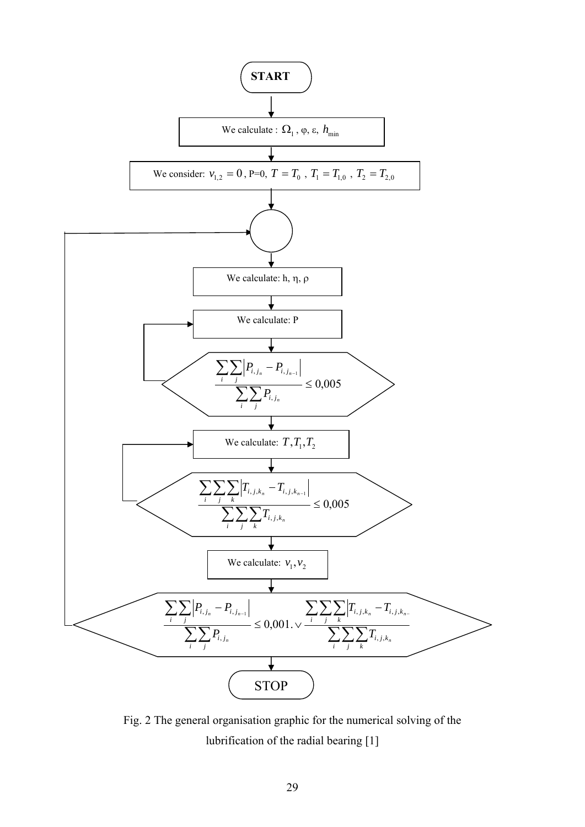

Fig. 2 The general organisation graphic for the numerical solving of the lubrification of the radial bearing [1]